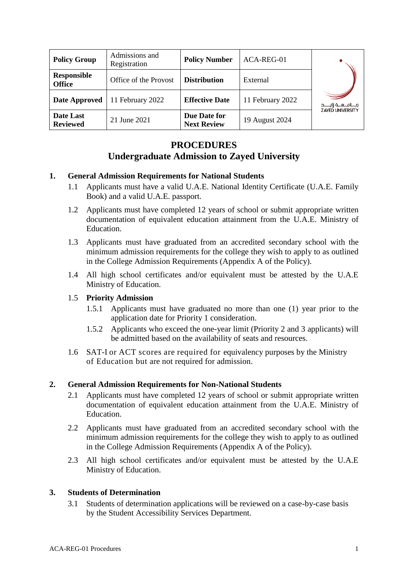| <b>Policy Group</b>          | Admissions and<br>Registration | <b>Policy Number</b>               | ACA-REG-01       |                         |
|------------------------------|--------------------------------|------------------------------------|------------------|-------------------------|
| Responsible<br><b>Office</b> | Office of the Provost          | <b>Distribution</b>                | External         |                         |
| <b>Date Approved</b>         | 11 February 2022               | <b>Effective Date</b>              | 11 February 2022 | جـــامــعــة زايــــد   |
| Date Last<br><b>Reviewed</b> | 21 June 2021                   | Due Date for<br><b>Next Review</b> | 19 August 2024   | <b>ZAYED UNIVERSITY</b> |

# **PROCEDURES Undergraduate Admission to Zayed University**

### **1. General Admission Requirements for National Students**

- 1.1 Applicants must have a valid U.A.E. National Identity Certificate (U.A.E. Family Book) and a valid U.A.E. passport.
- 1.2 Applicants must have completed 12 years of school or submit appropriate written documentation of equivalent education attainment from the U.A.E. Ministry of Education.
- 1.3 Applicants must have graduated from an accredited secondary school with the minimum admission requirements for the college they wish to apply to as outlined in the College Admission Requirements (Appendix A of the Policy).
- 1.4 All high school certificates and/or equivalent must be attested by the U.A.E Ministry of Education.

#### 1.5 **Priority Admission**

- 1.5.1 Applicants must have graduated no more than one (1) year prior to the application date for Priority 1 consideration.
- 1.5.2 Applicants who exceed the one-year limit (Priority 2 and 3 applicants) will be admitted based on the availability of seats and resources.
- 1.6 SAT-I or ACT scores are required for equivalency purposes by the Ministry of Education but are not required for admission.

## **2. General Admission Requirements for Non-National Students**

- 2.1 Applicants must have completed 12 years of school or submit appropriate written documentation of equivalent education attainment from the U.A.E. Ministry of Education.
- 2.2 Applicants must have graduated from an accredited secondary school with the minimum admission requirements for the college they wish to apply to as outlined in the College Admission Requirements (Appendix A of the Policy).
- 2.3 All high school certificates and/or equivalent must be attested by the U.A.E Ministry of Education.

#### **3. Students of Determination**

3.1 Students of determination applications will be reviewed on a case-by-case basis by the Student Accessibility Services Department.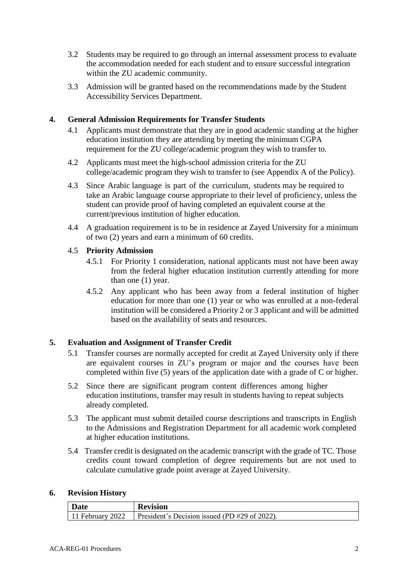- 3.2 Students may be required to go through an internal assessment process to evaluate the accommodation needed for each student and to ensure successful integration within the ZU academic community.
- 3.3 Admission will be granted based on the recommendations made by the Student Accessibility Services Department.

## **4. General Admission Requirements for Transfer Students**

- 4.1 Applicants must demonstrate that they are in good academic standing at the higher education institution they are attending by meeting the minimum CGPA requirement for the ZU college/academic program they wish to transfer to.
- 4.2 Applicants must meet the high-school admission criteria for the ZU college/academic program they wish to transfer to (see Appendix A of the Policy).
- 4.3 Since Arabic language is part of the curriculum, students may be required to take an Arabic language course appropriate to their level of proficiency, unless the student can provide proof of having completed an equivalent course at the current/previous institution of higher education.
- 4.4 A graduation requirement is to be in residence at Zayed University for a minimum of two (2) years and earn a minimum of 60 credits.

### 4.5 **Priority Admission**

- 4.5.1 For Priority 1 consideration, national applicants must not have been away from the federal higher education institution currently attending for more than one (1) year.
- 4.5.2 Any applicant who has been away from a federal institution of higher education for more than one (1) year or who was enrolled at a non-federal institution will be considered a Priority 2 or 3 applicant and will be admitted based on the availability of seats and resources.

## **5. Evaluation and Assignment of Transfer Credit**

- 5.1 Transfer courses are normally accepted for credit at Zayed University only if there are equivalent courses in ZU's program or major and the courses have been completed within five (5) years of the application date with a grade of C or higher.
- 5.2 Since there are significant program content differences among higher education institutions, transfer may result in students having to repeat subjects already completed.
- 5.3 The applicant must submit detailed course descriptions and transcripts in English to the Admissions and Registration Department for all academic work completed at higher education institutions.
- 5.4 Transfer credit is designated on the academic transcript with the grade of TC. Those credits count toward completion of degree requirements but are not used to calculate cumulative grade point average at Zayed University.

#### **6. Revision History**

| Date             | <b>Revision</b>                                 |
|------------------|-------------------------------------------------|
| 11 February 2022 | President's Decision issued (PD $#29$ of 2022). |